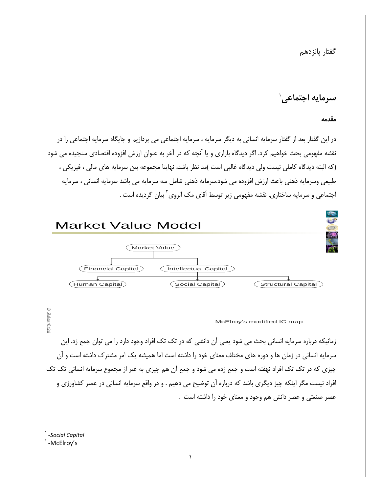گفتار يانزدهم

سرمايه اجتماعي`

مقدمه

در این گفتار بعد از گفتار سرمایه انسانی به دیگر سرمایه ، سرمایه اجتماعی می پردازیم و جایگاه سرمایه اجتماعی را در نقشه مفهومی بحث خواهیم کرد. اگر دیدگاه بازاری و یا آنچه که در آخر به عنوان ارزش افزوده اقتصادی سنجیده می شود (كه البته ديدگاه كاملي نيست ولي ديدگاه غالبي است )مد نظر باشد، نهايتا مجموعه بين سرمايه هاي مالي ، فيزيكي ، طبیعی وسرمایه ذهنی باعث ارزش افزوده می شود.سرمایه ذهنی شامل سه سرمایه می باشد سرمایه انسانی ، سرمایه اجتماعی و سرمایه ساختاری. نقشه مفهومی زیر توسط آقای مک الروی<sup>۲</sup> بیان گردیده است .



McElroy's modified IC map

زمانیکه درباره سرمایه انسانی بحث می شود یعنی آن دانشی که در تک تک افراد وجود دارد را می توان جمع زد. این سرمایه انسانی در زمان ها و دوره های مختلف معنای خود را داشته است اما همیشه یک امر مشترک داشته است و آن چیزی که در تک تک افراد نهفته است و جمع زده می شود و جمع آن هم چیزی به غیر از مجموع سرمایه انسانی تک تک افراد نیست مگر اینکه چیز دیگری باشد که درباره آن توضیح می دهیم . و در واقع سرمایه انسانی در عصر کشاورزی و عصر صنعتی و عصر دانش هم وجود و معنای خود را داشته است .

<sup>\</sup> -Social Capital

FMcElroy's

Dr. Stahram Yazda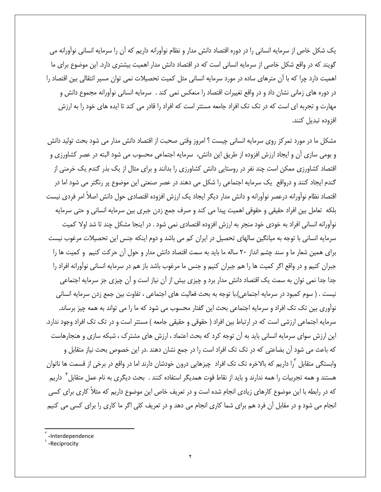یک شکل خاص از سرمایه انسانی را در دوره اقتصاد دانش مدار و نظام نوآورانه داریم که آن را سرمایه انسانی نوآورانه می گویند که در واقع شکل خاصی از سرمایه انسانی است که در اقتصاد دانش مدار اهمیت بیشتری دارد. این موضوع برای ما اهمیت دارد چرا که با آن مترهای ساده در مورد سرمایه انسانی مثل کمیت تحصیلات نمی توان مسیر انتقالی بین اقتصاد را در دوره های زمانی نشان داد و در واقع تغییرات اقتصاد را منعکس نمی کند . سرمایه انسانی نوآورانه مجموع دانش و مهارت و تجربه ای است که در تک تک افراد جامعه مستتر است که افراد را قادر می کند تا ایده های خود را به ارزش افزوده تبديل كنند.

مشکل ما در مورد تمرکز روی سرمایه انسانی چیست ؟ امروز وقتی صحبت از اقتصاد دانش مدار می شود بحث تولید دانش و بومی سازی آن و ایجاد ارزش افزوده از طریق این دانش، سرمایه اجتماعی محسوب می شود البته در عصر کشاورزی و اقتصاد کشاورزی ممکن است چند نفر در روستایی دانش کشاورزی را بدانند و برای مثال از یک بذر گندم یک خرمنی از گندم ایجاد کنند و درواقع یک سرمایه اجتماعی را شکل می دهند در عصر صنعتی این موضوع پر رنگتر می شود اما در اقتصاد نظام نوآورانه درعصر نوآورانه و دانش مدار دیگر ایجاد یک ارزش افزوده اقتصادی حول دانش اصلاً امر فردی نیست بلكه تعامل بين افراد حقيقى و حقوقى اهميت پيدا مى كند و صرف جمع زدن جبرى بين سرمايه انسانى و حتى سرمايه نوآورانه انسانی افراد به خودی خود منجر به ارزش افزوده اقتصادی نمی شود . در اینجا مشکل چند تا شد اولا کمیت سرمایه انسانی با توجه به میانگین سالهای تحصیل در ایران کم می باشد و دوم اینکه جنس این تحصیلات مرغوب نیست برای همین شعار ما و سند چشم انداز ۲۰ ساله ما باید به سمت اقتصاد دانش مدار و حول آن حرکت کنیم و کمیت ها را جبران کنیم و در واقع اگر کمیت ها را هم جبران کنیم و جنس ما مرغوب باشد باز هم در سرمایه انسانی نوآورانه افراد را جدا جدا نمی توان به سمت یک اقتصاد دانش مدار برد و چیزی بیش از آن نیاز است و آن چیزی جز سرمایه اجتماعی نيست . ( سوم كمبود در سرمايه اجتماعي).با توجه به بحث فعاليت هاي اجتماعي ، تفاوت بين جمع زدن سرمايه انساني نوآوری بین تک تک افراد و سرمایه اجتماعی بحث این گفتار محسوب می شود که ما را می تواند به همه چیز برساند. سرمایه اجتماعی ارزشی است که در ارتباط بین افراد ( حقوقی و حقیقی جامعه ) مستتر است و در تک تک افراد وجود ندارد. این ارزش سوای سرمایه انسانی باید به آن توجه کرد که بحث اعتماد ، ارزش های مشترک ، شبکه سازی و هنجارهاست که باعث می شود آن بضاعتی که در تک تک افراد است را در جمع نشان دهند .در این خصوص بحث نیاز متقابل و وابستگی متقابل <sup>۲</sup>را داریم که بالاخره تک تک افراد چیزهایی درون خودشان دارند اما در واقع در برخی از قسمت ها ناتوان هستند و همه تجربیات را همه ندارند و باید از نقاط قوت همدیگر استفاده کنند . بحث دیگری به نام عمل متقابل آ داریم که در رابطه با این موضوع کارهای زیادی انجام شده است و در تعریف خاص این موضوع داریم که مثلاً کاری برای کسی انجام می شود و در مقابل آن فرد هم برای شما کاری انجام می دهد و در تعریف کلی اگر ما کاری را برای کسی می کنیم

<sup>-</sup>Interdependence

<sup>-</sup>Reciprocity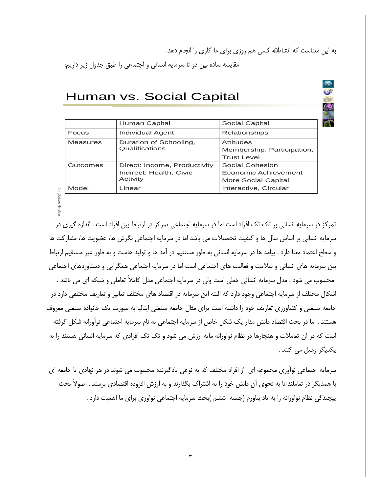به این معناست که انشاءالله کسی هم روزی برای ما کاری را انجام دهد.

مقايسه ساده بين دو تا سرمايه انساني و اجتماعي را طبق جدول زير داريم:

## Human vs. Social Capital

|                 | Human Capital                | Social Capital             |
|-----------------|------------------------------|----------------------------|
| Focus           | Individual Agent             | Relationships              |
| <b>Measures</b> | Duration of Schooling,       | Attitudes                  |
|                 | Qualifications               | Membership, Participation, |
|                 |                              | <b>Trust Level</b>         |
| Outcomes        | Direct: Income, Productivity | Social Cohesion            |
|                 | Indirect: Health, Civic      | Economic Achievement       |
|                 | Activity                     | More Social Capital        |
| Model           | Linear                       | Interactive, Circular      |
|                 |                              |                            |

Dr. Shahram

تمرکز در سرمایه انسانی بر تک تک افراد است اما در سرمایه اجتماعی تمرکز در ارتباط بین افراد است . اندازه گیری در سرمایه انسانی بر اساس سال ها و کیفیت تحصیلات می باشد اما در سرمایه اجتماعی نگرش ها، عضویت ها، مشارکت ها و سطح اعتماد معنا دارد . پیامد ها در سرمایه انسانی به طور مستقیم در آمد ها و تولید هاست و به طور غیر مستقیم ارتباط بین سرمایه های انسانی و سلامت و فعالیت های اجتماعی است اما در سرمایه اجتماعی همگرایی و دستاوردهای اجتماعی محسوب می شود . مدل سرمایه انسانی خطی است ولی در سرمایه اجتماعی مدل کاملاً تعاملی و شبکه ای می باشد . اشکال مختلف از سرمایه اجتماعی وجود دارد که البته این سرمایه در اقتصاد های مختلف تعابیر و تعاریف مختلفی دارد در جامعه صنعتی و کشاورزی تعاریف خود را داشته است پرای مثال جامعه صنعتی ایتالیا به صورت یک خانواده صنعتی معروف هستند . اما در بحث اقتصاد دانش مدار یک شکل خاص از سرمایه اجتماعی به نام سرمایه اجتماعی نوآورانه شکل گرفته است که در آن تعاملات و هنجارها در نظام نوآورانه مایه ارزش می شود و تک تک افرادی که سرمایه انسانی هستند را به يكديگر وصل مي كنند .

سرمایه اجتماعی نوآوری مجموعه ای از افراد مختلف که به نوعی یادگیرنده محسوب می شوند در هر نهادی یا جامعه ای با همدیگر در تعاملند تا به نحوی آن دانش خود را به اشتراک بگذارند و به ارزش افزوده اقتصادی برسند . اصولاً بحث پیچیدگی نظام نوآورانه را به یاد بیاورم (جلسه ۖ ششم )بحث سرمایه اجتماعی نوآوری برای ما اهمیت دارد .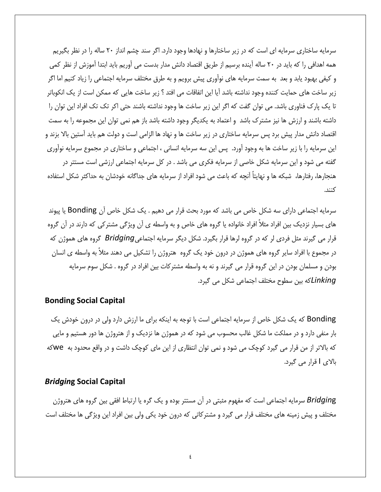سرمایه ساختاری سرمایه ای است که در زیر ساختارها و نهادها وجود دارد. اگر سند چشم انداز ۲۰ ساله را در نظر بگیریم همه اهدافی را که باید در ۲۰ ساله آینده برسیم از طریق اقتصاد دانش مدار بدست می آوریم باید ابتدا آموزش از نظر کمی و کیفی بهبود یابد و بعد به سمت سرمایه های نوآوری پیش برویم و به طرق مختلف سرمایه اجتماعی را زیاد کنیم اما اگر زير ساخت هاي حمايت كننده وجود نداشته باشد آيا اين اتفاقات مي افتد ؟ زير ساخت هايي كه ممكن است از يک انکوباتر تا یک پارک فناوری باشد. می توان گفت که اگر این زیر ساخت ها وجود نداشته باشند حتی اکر تک تک افراد این توان را داشته باشند و ارزش ها نیز مشترک باشد و اعتماد به یکدیگر وجود داشته باشد باز هم نمی توان این مجموعه را به سمت اقتصاد دانش مدار پیش برد پس سرمایه ساختاری در زیر ساخت ها و نهاد ها الزامی است و دولت هم باید آستین بالا بزند و این سرمایه را با زیر ساخت ها به وجود آورد. پس این سه سرمایه انسانی ، اجتماعی و ساختاری در مجموع سرمایه نوآوری گفته می شود و این سرمایه شکل خاصی از سرمایه فکری می باشد . در کل سرمایه اجتماعی ارزشی است مستتر در هنجارها، رفتارها، شبكه ها و نهايتاً آنچه كه باعث مى شود افراد از سرمايه هاى جداگانه خودشان به حداكثر شكل استفاده كنند.

سرمایه اجتماعی دارای سه شکل خاص می باشد که مورد بحث قرار می دهیم . یک شکل خاص آن Bonding یا پیوند های بسیار نزدیک بین افراد مثلاً افراد خانواده یا گروه های خاص و به واسطه ی آن ویژگی مشترکی که دارند در آن گروه قرار می گیرند مثل فردی لر که در گروه لرها قرار بگیرد. شکل دیگر سرمایه اجتماعیBridging گروه های هموژن که در مجموع با افراد سایر گروه های هموژن در درون خود یک گروه هتروژن را تشکیل می دهند مثلاً به واسطه ی انسان بودن و مسلمان بودن در این گروه قرار می گیرند و نه به واسطه مشترکات بین افراد در گروه . شکل سوم سرمایه Linkingکه بین سطوح مختلف اجتماعی شکل می گیرد.

### **Bonding Social Capital**

Bonding که یک شکل خاص از سرمایه اجتماعی است با توجه به اینکه برای ما ارزش دارد ولی در درون خودش یک بار منفی دارد و در مملکت ما شکل غالب محسوب می شود که در هموژن ها نزدیک و از هتروژن ها دور هستیم و مایی که بالاتر از من قرار می گیرد کوچک می شود و نمی توان انتظاری از این مای کوچک داشت و در واقع محدود به Weكه بالای l قرار می گیرد.

#### **Bridging Social Capital**

Bridging سرمایه اجتماعی است که مفهوم مثبتی در آن مستتر بوده و یک گره یا ارتباط افقی بین گروه های هتروژن مختلف و پیش زمینه های مختلف قرار می گیرد و مشترکاتی که درون خود یکی ولی بین افراد این ویژگی ها مختلف است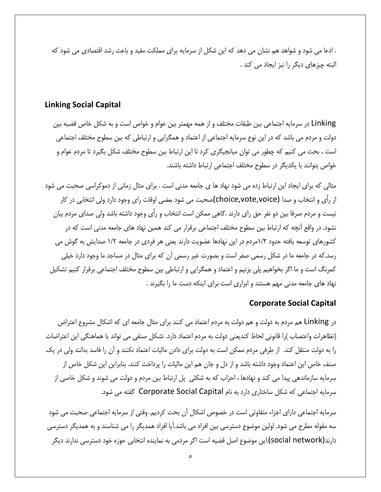. ادعا می شود و شواهد هم نشان می دهد که این شکل از سرمایه برای مملکت مفید و باعث رشد اقتصادی می شود که البته چیزهای دیگر را نیز ایجاد می کند .

#### **Linking Social Capital**

Linking در سرمایه اجتماعی بین طبقات مختلف و از همه مهمتر بین عوام و خواص است و به شکل خاص قضیه بین دولت و مردم می باشد که در این نوع سرمایه اجتماعی از اعتماد و همگرایی و ارتباطی که بین سطوح مختلف اجتماعی است ، بحث می کنیم که چطور می توان میانجیگری کرد تا این ارتباط بین سطوح مختلف شکل بگیرد تا مردم عوام و خواص بتوانند با يكديگر در سطوح مختلف اجتماعي ارتباط داشته باشند.

مثالی که برای ایجاد این ارتباط زده می شود نهاد ها ی جامعه مدنی است . برای مثال زمانی از دموکراسی صحبت می شود از رأى و انتخاب و صدا (choice,vote,voice)صحبت مى شود بعضى اوقات راى وجود دارد ولى انتخابى در كار نیست و مردم صرفا بین دو نفر حق رای دارند .گاهی ممکن است انتخاب و رأی وجود داشته باشد ولی صدای مردم بیان نشود. در واقع آنچه که ارتباط بین سطوح مختلف اجتماعی برقرار می کند همین نهاد های جامعه مدنی است که در کشورهای توسعه یافته حدود ۱/۲مردم در این نهادها عضویت دارند یعنی هر فردی در جامعه ۱/۲ صدایش به گوش می رسد.که در جامعه ما در شکل رسمی صفر است و بصورت غیر رسمی آن که برای مثال در مساجد ما وجود دارد خیلی كمرنگ است و ما اگر بخواهيم پلي بزنيم و اعتماد و همگرايي و ارتباطي بين سطوح مختلف اجتماعي برقرار كنيم تشكيل نهاد های جامعه مدنی مهم هستند و ابزاری است برای اینکه دست ما را بگیرند .

#### **Corporate Social Capital**

در Linking هم مردم به دولت و هم دولت به مردم اعتماد می کنند برای مثال جامعه ای که اشکال مشروع اعتراض (تظاهرات واعتصاب )را قانونی لحاظ کندیعنی دولت به مردم اعتماد دارد. تشکل صنفی می تواند با هماهنگی این اعتراضات را به دولت منتقل کند. از طرفی مردم ممکن است به دولت برای دادن مالیات اعتماد نکنند و آن را فاسد بدانند ولی در یک صنف خاص این اعتماد وجود داشته باشد و از دل و جان هم این مالیات را پرداخت کنند. بنابراین این شکل خاص از سرمایه سازماندهی پیدا می کند و نهادها ، احزاب که به شکلی پل ارتباط بین مردم و دولت می شوند و شکل خاصی از سرمایه اجتماعی که شکل ساختاری دارد به نام Corporate Social Capital گفته می شود.

سرمايه اجتماعي داراي اجزاء متفاوتي است در خصوص اشكال آن بحث كرديم. وقتي از سرمايه اجتماعي صحبت مي شود سه مقوله مطرح می شود. اولین موضوع دسترسی بین افراد می باشد.آیا افراد همدیگر را می شناسند و به همدیگر دسترسی دارند(social network).این موضوع اصل قضیه است اگر مردمی به نماینده انتخابی حوزه خود دسترسی ندارند دیگر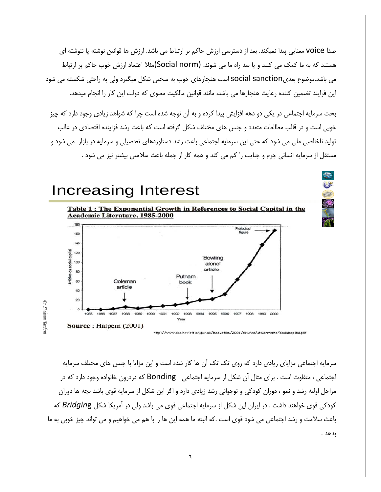صدا voice معنایی پیدا نمیکند. بعد از دسترسی ارزش حاکم بر ارتباط می باشد. ارزش ها قوانین نوشته یا ننوشته ای هستند که به ما کمک می کنند و یا سد راه ما می شوند. (Social norm)مثلا اعتماد ارزش خوب حاکم بر ارتباط می باشد.موضوع بعدیsocial sanction است هنجارهای خوب به سختی شکل میگیرد ولی به راحتی شکسته می شود این فرایند تضمین کننده رعایت هنجارها می باشد، مانند قوانین مالکیت معنوی که دولت این کار را انجام میدهد.

بحث سرمایه اجتماعی در یکی دو دهه افزایش پیدا کرده و به آن توجه شده است چرا که شواهد زیادی وجود دارد که چیز خوبی است و در قالب مطالعات متعدد و جنس های مختلف شکل گرفته است که باعث رشد فزاینده اقتصادی در غالب تولید ناخالصی ملی می شود که حتی این سرمایه اجتماعی باعث رشد دستاوردهای تحصیلی و سرمایه در بازار می شود و مستقل از سرمایه انسانی جرم و جنایت را کم می کند و همه کار از جمله باعث سلامتی بیشتر نیز می شود .

# **Increasing Interest**



http://www.cabinet-office.gov.uk/innovation/2001/futures/attachments/socialcapital.pdf

سرمایه اجتماعی مزایای زیادی دارد که روی تک تک آن ها کار شده است و این مزایا با جنس های مختلف سرمایه اجتماعی ، متفاوت است . برای مثال آن شکل از سرمایه اجتماعی Bonding که دردرون خانواده وجود دارد که در مراحل اولیه رشد و نمو ، دوران کودکی و نوجوانی رشد زیادی دارد و اگر این شکل از سرمایه قوی باشد بچه ها دوران کودکی قوی خواهند داشت . در ایران این شکل از سرمایه اجتماعی قوی می باشد ولی در آمریکا شکل Bridging که باعث سلامت و رشد اجتماعی می شود قوی است .که البته ما همه این ها را با هم می خواهیم و می تواند چیز خوبی به ما ىدھد .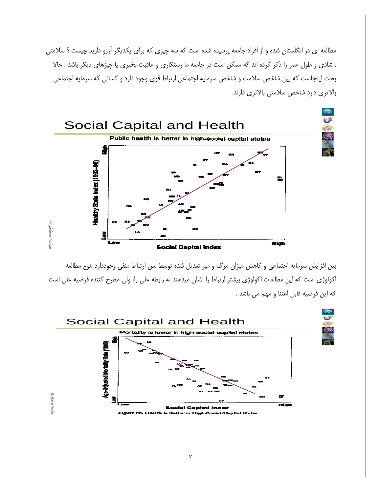مطالعه ای در انگلستان شده و از افراد جامعه پرسیده شده است که سه چیزی که برای یکدیگر آرزو دارید چیست ؟ سلامتی ، شادی و طول عمر را ذکر کرده اند که ممکن است در جامعه ما رستگاری و عاقبت بخیری یا چیزهای دیگر باشد . حالا بحث اینجاست که بین شاخص سلامت و شاخص سرمایه اجتماعی ارتباط قوی وجود دارد و کسانی که سرمایه اجتماعی بالاتری دارد شاخص سلامتی بالاتری دارند.



بین افزایش سرمایه اجتماعی و کاهش میزان مرگ و میر تعدیل شده توسط سن ارتباط منفی وجوددارد .نوع مطالعه اکولوژی است که این مطالعات اکولوژی بیشتر ارتباط را نشان میدهند نه رابطه علی را، ولی مطرح کننده فرضیه علی است كه اين فرضيه قابل اعتنا و مهم مي باشد .

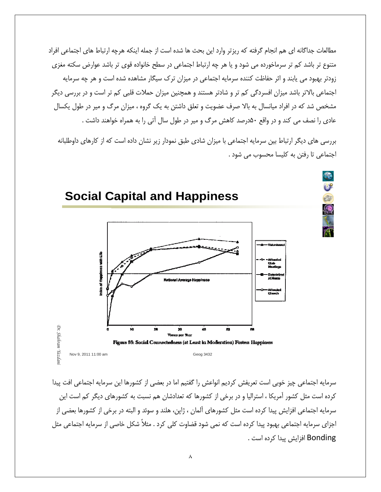مطالعات جداگانه ای هم انجام گرفته که ریزتر وارد این بحث ها شده است از جمله اینکه هرچه ارتباط های اجتماعی افراد متنوع تر باشد کم تر سرماخورده می شود و یا هر چه ارتباط اجتماعی در سطح خانواده قوی تر باشد عوارض سکته مغزی زودتر بهبود می یابند و اثر حفاظت کننده سرمایه اجتماعی در میزان ترک سیگار مشاهده شده است و هر چه سرمایه اجتماعی بالاتر باشد میزان افسردگی کم تر و شادتر هستند و همچنین میزان حملات قلبی کم تر است و در بررسی دیگر مشخص شد که در افراد میانسال به بالا صرف عضویت و تعلق داشتن به یک گروه ، میزان مرگ و میر در طول یکسال عادی را نصف می کند و در واقع ۵۰درصد کاهش مرگ و میر در طول سال آتی را به همراه خواهند داشت .

> بررسی های دیگر ارتباط بین سرمایه اجتماعی با میزان شادی طبق نمودار زیر نشان داده است که از کارهای داوطلبانه اجتماعی تا رفتن به کلیسا محسوب می شود .



سرمايه اجتماعي چيز خوبي است تعريفش كرديم انواعش را گفتيم اما در بعضي از كشورها اين سرمايه اجتماعي افت پيدا کرده است مثل کشور آمریکا ، استرالیا و در برخی از کشورها که تعدادشان هم نسبت به کشورهای دیگر کم است این سرمايه اجتماعي افزايش پيدا كرده است مثل كشورهاي آلمان ، ژاپن، هلند و سوئد و البته در برخي از كشورها بعضي از اجزای سرمایه اجتماعی بهبود پیدا کرده است که نمی شود قضاوت کلی کرد . مثلاً شکل خاصی از سرمایه اجتماعی مثل Bonding افزایش پیدا کرده است .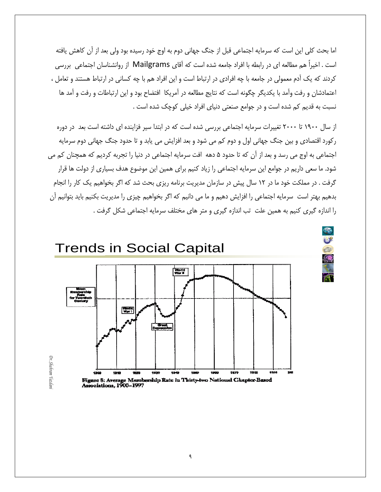اما بحث كلي اين است كه سرمايه اجتماعي قبل از جنگ جهاني دوم به اوج خود رسيده بود ولي بعد از آن كاهش يافته است . اخیراً هم مطالعه ای در رابطه با افراد جامعه شده است که آقای Mailgrams از روانشناسان اجتماعی بررسی کردند که یک آدم معمولی در جامعه با چه افرادی در ارتباط است و این افراد هم با چه کسانی در ارتباط هستند و تعامل ، اعتمادشان و رفت وآمد با يكديگر چگونه است كه نتايج مطالعه در آمريكا افتضاح بود و اين ارتباطات و رفت و آمد ها نسبت به قدیم کم شده است و در جوامع صنعتی دنیای افراد خیلی کوچک شده است .

از سال ۱۹۰۰ تا ۲۰۰۰ تغییرات سرمایه اجتماعی بررسی شده است که در ابتدا سیر فزاینده ای داشته است بعد در دوره رکورد اقتصادی و بین جنگ جهانی اول و دوم کم می شود و بعد افزایش می یابد و تا حدود جنگ جهانی دوم سرمایه اجتماعی به اوج می رسد و بعد از آن که تا حدود ۵ دهه افت سرمایه اجتماعی در دنیا را تجربه کردیم که همچنان کم می شود. ما سعی داریم در جوامع این سرمایه اجتماعی را زیاد کنیم برای همین این موضوع هدف بسیاری از دولت ها قرار گرفت . در مملکت خود ما در ۱۲ سال پیش در سازمان مدیریت برنامه ریزی بحث شد که اگر بخواهیم یک کار را انجام بدهیم بهتر است سرمایه اجتماعی را افزایش دهیم و ما می دانیم که اگر بخواهیم چیزی را مدیریت بکنیم باید بتوانیم آن را اندازه گیری کنیم به همین علت تب اندازه گیری و متر های مختلف سرمایه اجتماعی شکل گرفت .



2

Dr. Shahram Yazdan *Dr. Shahram Yazdani*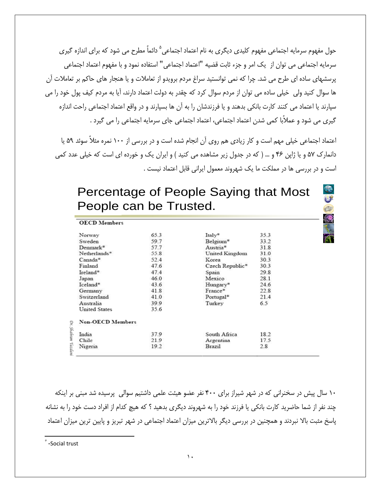حول مفهوم سرمایه اجتماعی مفهوم کلیدی دیگری به نام اعتماد اجتماعی<sup>۵</sup> دائماً مطرح می شود که برای اندازه گیری سرمايه اجتماعي مي توان از "يک امر و جزء ثابت قضيه "اعتماد اجتماعي" استفاده نمود و با مفهوم اعتماد اجتماعي پرسشهای ساده ای طرح می شد. چرا که نمی توانستید سراغ مردم برویدو از تعاملات و یا هنجار های حاکم بر تعاملات آن ها سوال کنید ولی خیلی ساده می توان از مردم سوال کرد که چقدر به دولت اعتماد دارند، آیا به مردم کیف پول خود را می سپارند یا اعتماد می کنند کارت بانکی بدهند و یا فرزندشان را به آن ها بسپارند و در واقع اعتماد اجتماعی راحت اندازه گیری می شود و عملاًبا کمی شدن اعتماد اجتماعی، اعتماد اجتماعی جای سرمایه اجتماعی را می گیرد .

اعتماد اجتماعی خیلی مهم است و کار زیادی هم روی آن انجام شده است و در بررسی از ۱۰۰ نمره مثلاً سوئد ۵۹ یا دانمارک ۵۷ و یا ژاپن ۴۶ و … ( که در جدول زیر مشاهده می کنید ) و ایران یک و خورده ای است که خیلی عدد کمی است و در بررسی ها در مملکت ما یک شهروند معمول ایرانی قابل اعتماد نیست .

Percentage of People Saying that Most People can be Trusted.

 $\mathbb{C}$ <sup>8</sup>

| <b>OECD</b> Members     |      |                 |      |
|-------------------------|------|-----------------|------|
| Norway                  | 65.3 | Italy*          | 35.3 |
| Sweden                  | 59.7 | Belgium*        | 33.2 |
| Denmark*                | 57.7 | Austria*        | 31.8 |
| Netherlands*            | 55.8 | United Kingdom  | 31.0 |
| Canada*                 | 52.4 | Korea           | 30.3 |
| Finland                 | 47.6 | Czech Republic* | 30.3 |
| Ireland*                | 47.4 | Spain           | 29.8 |
| Japan                   | 46.0 | Mexico          | 28.1 |
| Iceland*                | 43.6 | Hungary*        | 24.6 |
| Germany                 | 41.8 | France*         | 22.8 |
| Switzerland             | 41.0 | Portugal*       | 21.4 |
| Australia               | 39.9 | Turkey          | 6.5  |
| <b>United States</b>    | 35.6 |                 |      |
| <b>Non-OECD Members</b> |      |                 |      |
| India                   | 37.9 | South Africa    | 18.2 |
| Chile                   | 21.9 | Argentina       | 17.5 |
| Nigeria                 | 19.2 | Brazil          | 2.8  |

۱۰ سال پیش در سخنرانی که در شهر شیراز برای ۴۰۰ نفر عضو هیئت علمی داشتیم سوالی پرسیده شد مبنی بر اینکه چند نفر از شما حاضرید کارت بانکی یا فرزند خود را به شهروند دیگری بدهید ؟ که هیچ کدام از افراد دست خود را به نشانه پاسخ مثبت بالا نبردند و همچنین در بررسی دیگر بالاترین میزان اعتماد اجتماعی در شهر تبریز و پایین ترین میزان اعتماد

 $\degree$  -Social trust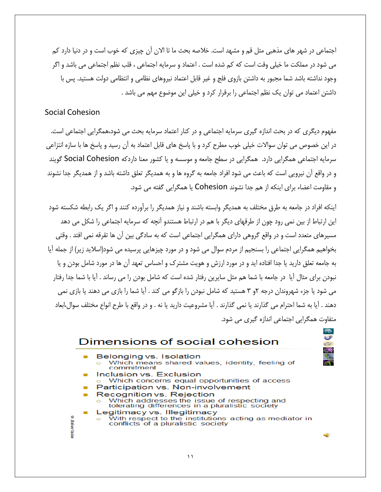اجتماعی در شهر های مذهبی مثل قم و مشهد است. خلاصه بحث ما تا الان آن چیزی که خوب است و در دنیا دارد کم می شود در مملکت ما خیلی وقت است که کم شده است . اعتماد و سرمایه اجتماعی ، قلب نظم اجتماعی می باشد و اگر وجود نداشته باشد شما مجبور به داشتن بازوی فلج و غیر قابل اعتماد نیروهای نظامی و انتظامی دولت هستید. پس با داشتن اعتماد می توان یک نظم اجتماعی را برقرار کرد و خیلی این موضوع مهم می باشد .

#### **Social Cohesion**

مفهوم دیگری که در بحث اندازه گیری سرمایه اجتماعی و در کنار اعتماد سرمایه بحث می شود،همگرایی اجتماعی است. در این خصوص می توان سوالات خیلی خوب مطرح کرد و با پاسخ های قابل اعتماد به آن رسید و پاسخ ها با سازه انتزاعی سرمایه اجتماعی همگرایی دارد. همگرایی در سطح جامعه و موسسه و یا کشور معنا داردکه Social Cohesion گویند و در واقع آن نیرویی است که باعث می شود افراد جامعه به گروه ها و به همدیگر تعلق داشته باشد و از همدیگر جدا نشوند و مقاومت اعضاء براي اينكه از هم جدا نشوند Cohesion يا همگرايي گفته مي شود.

اینکه افراد در جامعه به طرق مختلف به همدیگر وابسته باشند و نیاز همدیگر را برآورده کنند و اگر یک رابطه شکسته شود این ارتباط از بین نمی رود چون از طرقهای دیگر با هم در ارتباط هستندو آنچه که سرمایه اجتماعی را شکل می دهد مسیرهای متعدد است و در واقع گروهی دارای همگرایی اجتماعی است که به سادگی بین ان ها تقرقه نمی افتد . وقتی بخواهیم همگرایی اجتماعی را بسنجیم از مردم سوال می شود و در مورد چیزهایی پرسیده می شود(اسلاید زیر) از جمله ایا به جامعه تعلق دارید یا جدا افتاده اید و در مورد ارزش و هویت مشترک و احساس تعهد آن ها در مورد شامل بودن و یا نبودن برای مثال ایا ً در جامعه با شما هم مثل سایرین رفتار شده است که شامل بودن را می رساند . آیا با شما جدا رفتار می شود یا جزء شهروندان درجه ۲و ۳ هستید که شامل نبودن را بازگو می کند . آیا شما را بازی می دهند یا بازی نمی دهند . آيا به شما احترام مي گذارند يا نمي گذارند . آيا مشروعيت داريد يا نه . و در واقع با طرح انواع مختلف سوال،ابعاد متفاوت همگرایی اجتماعی اندازه گیری می شود.

#### Dimensions of social cohesion Belonging vs. Isolation Which means shared values, identity, feeling of commitment Inclusion vs. Exclusion Which concerns equal opportunities of access Participation vs. Non-involvement Recognition vs. Rejection Which addresses the issue of respecting and tolerating differences in a pluralistic society Legitimacy vs. Illegitimacy With respect to the institutions acting as mediator in Shehran O'atda conflicts of a pluralistic society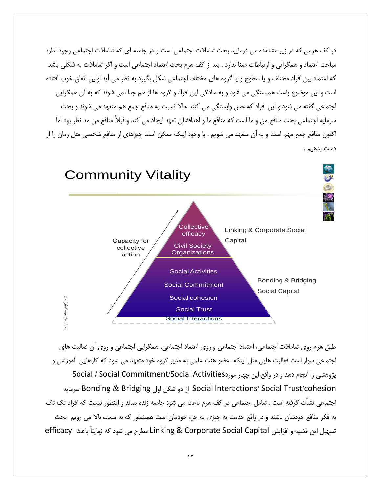در کف هرمی که در زیر مشاهده می فرمایید بحث تعاملات اجتماعی است و در جامعه ای که تعاملات اجتماعی وجود ندارد مباحث اعتماد و همگرایی و ارتباطات معنا ندارد . بعد از کف هرم بحث اعتماد اجتماعی است و اگر تعاملات به شکلی باشد كه اعتماد بين افراد مختلف و يا سطوح و يا گروه هاي مختلف اجتماعي شكل بگيرد به نظر مي آيد اولين اتفاق خوب افتاده است و این موضوع باعث همبستگی می شود و به سادگی این افراد و گروه ها از هم جدا نمی شوند که به آن همگرایی اجتماعي گفته مي شود و اين افراد كه حس وابستگي مي كنند حالا نسبت به منافع جمع هم متعهد مي شوند و بحث سرمايه اجتماعي بحث منافع من و ما است كه منافع ما و اهدافشان تعهد ايجاد مي كند و قبلاً منافع من مد نظر بود اما اکنون منافع جمع مهم است و به اّن متعهد می شویم . با وجود اینکه ممکن است چیزهای از منافع شخصی مثل زمان را از دست بدهیم .



طبق هرم روی تعاملات اجتماعی، اعتماد اجتماعی و روی اعتماد اجتماعی، همگرایی اجتماعی و روی آن فعالیت های اجتماعی سوار است فعالیت هایی مثل اینکه عضو هئت علمی به مدیر گروه خود متعهد می شود که کارهایی اَموزشی و يژوهشي را انجام دهد و در واقع اين چهار موردSocial / Social Commitment/Social Activities Social Interactions/ Social Trust/cohesion از دو شكل اول Bonding & Bridging سرمايه اجتماعی نشأت گرفته است . تعامل اجتماعی در کف هرم باعث می شود جامعه زنده بماند و اینطور نیست که افراد تک تک به فکر منافع خودشان باشند و در واقع خدمت به چیزی به جزء خودمان است همینطور که به سمت بالا می رویم ِ بحث تسهيل اين قضيه و افزايش Linking & Corporate Social Capital مطرح مي شود كه نهايتاً باعث efficacy